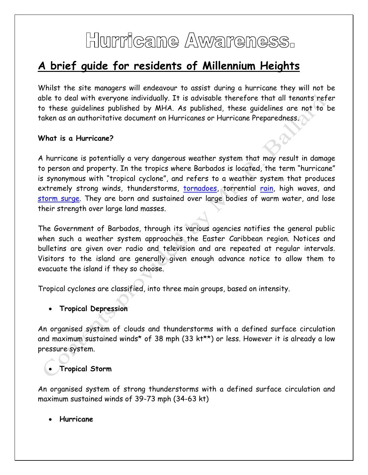# Hurricane Awareness.

# **A brief guide for residents of Millennium Heights**

Whilst the site managers will endeavour to assist during a hurricane they will not be able to deal with everyone individually. It is advisable therefore that all tenants refer to these guidelines published by MHA. As published, these guidelines are not to be taken as an authoritative document on Hurricanes or Hurricane Preparedness.

#### **What is a Hurricane?**

A hurricane is potentially a very dangerous weather system that may result in damage to person and property. In the tropics where Barbados is located, the term "hurricane" is synonymous with "tropical cyclone", and refers to a weather system that produces extremely strong winds, thunderstorms, [tornadoes,](http://en.wikipedia.org/wiki/Tornado) torrential [rain,](http://en.wikipedia.org/wiki/Rain) high waves, and [storm surge.](http://en.wikipedia.org/wiki/Storm_surge) They are born and sustained over large bodies of warm water, and lose their strength over large land masses.

The Government of Barbados, through its various agencies notifies the general public when such a weather system approaches the Easter Caribbean region. Notices and bulletins are given over radio and television and are repeated at regular intervals. Visitors to the island are generally given enough advance notice to allow them to evacuate the island if they so choose.

Tropical cyclones are classified, into three main groups, based on intensity.

#### **Tropical Depression**

An organised system of clouds and thunderstorms with a defined surface circulation and maximum sustained winds\* of 38 mph (33 kt\*\*) or less. However it is already a low pressure system.

#### **Tropical Storm**

An organised system of strong thunderstorms with a defined surface circulation and maximum sustained winds of 39-73 mph (34-63 kt)

**Hurricane**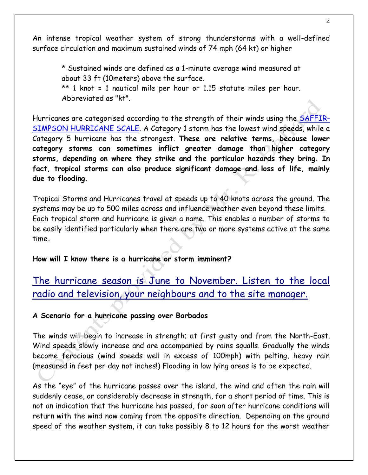An intense tropical weather system of strong thunderstorms with a well-defined surface circulation and maximum sustained winds of 74 mph (64 kt) or higher

\* Sustained winds are defined as a 1-minute average wind measured at about 33 ft (10meters) above the surface.

\*\* 1 knot = 1 nautical mile per hour or 1.15 statute miles per hour. Abbreviated as "kt".

Hurricanes are categorised according to the strength of their winds using the [SAFFIR-](file:///C:/Users/user/Local%20Settings/Local%20Settings/Application%20Data/Qualcomm/Temporary%20Internet%20Files/Content.IE5/U507M5M5/saffir_simpson.htm)[SIMPSON HURRICANE SCALE.](file:///C:/Users/user/Local%20Settings/Local%20Settings/Application%20Data/Qualcomm/Temporary%20Internet%20Files/Content.IE5/U507M5M5/saffir_simpson.htm) A Category 1 storm has the lowest wind speeds, while a Category 5 hurricane has the strongest. **These are relative terms, because lower category storms can sometimes inflict greater damage than higher category storms, depending on where they strike and the particular hazards they bring. In fact, tropical storms can also produce significant damage and loss of life, mainly due to flooding.**

Tropical Storms and Hurricanes travel at speeds up to 40 knots across the ground. The systems may be up to 500 miles across and influence weather even beyond these limits. Each tropical storm and hurricane is given a name. This enables a number of storms to be easily identified particularly when there are two or more systems active at the same time**.**

**How will I know there is a hurricane or storm imminent?**

### The hurricane season is June to November. Listen to the local radio and television, your neighbours and to the site manager.

#### **A Scenario for a hurricane passing over Barbados**

The winds will begin to increase in strength; at first gusty and from the North-East. Wind speeds slowly increase and are accompanied by rains squalls. Gradually the winds become ferocious (wind speeds well in excess of 100mph) with pelting, heavy rain (measured in feet per day not inches!) Flooding in low lying areas is to be expected.

As the "eye" of the hurricane passes over the island, the wind and often the rain will suddenly cease, or considerably decrease in strength, for a short period of time. This is not an indication that the hurricane has passed, for soon after hurricane conditions will return with the wind now coming from the opposite direction. Depending on the ground speed of the weather system, it can take possibly 8 to 12 hours for the worst weather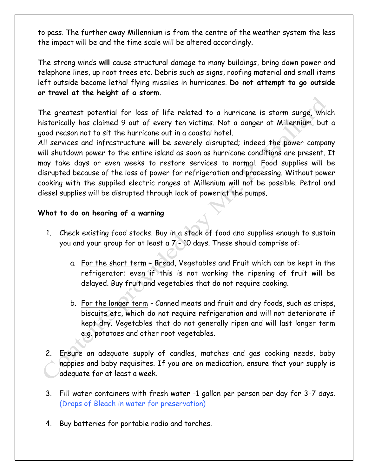to pass. The further away Millennium is from the centre of the weather system the less the impact will be and the time scale will be altered accordingly.

The strong winds **will** cause structural damage to many buildings, bring down power and telephone lines, up root trees etc. Debris such as signs, roofing material and small items left outside become lethal flying missiles in hurricanes. **Do not attempt to go outside or travel at the height of a storm.**

The greatest potential for loss of life related to a hurricane is storm surge, which historically has claimed 9 out of every ten victims. Not a danger at Millennium, but a good reason not to sit the hurricane out in a coastal hotel.

All services and infrastructure will be severely disrupted; indeed the power company will shutdown power to the entire island as soon as hurricane conditions are present. It may take days or even weeks to restore services to normal. Food supplies will be disrupted because of the loss of power for refrigeration and processing. Without power cooking with the suppiled electric ranges at Millenium will not be possible. Petrol and diesel supplies will be disrupted through lack of power at the pumps.

#### **What to do on hearing of a warning**

- 1. Check existing food stocks. Buy in a stock of food and supplies enough to sustain you and your group for at least a 7 - 10 days. These should comprise of:
	- a. For the short term Bread, Vegetables and Fruit which can be kept in the refrigerator; even if this is not working the ripening of fruit will be delayed. Buy fruit and vegetables that do not require cooking.
	- b. For the longer term Canned meats and fruit and dry foods, such as crisps, biscuits etc, which do not require refrigeration and will not deteriorate if kept dry. Vegetables that do not generally ripen and will last longer term e.g. potatoes and other root vegetables.
- 2. Ensure an adequate supply of candles, matches and gas cooking needs, baby nappies and baby requisites. If you are on medication, ensure that your supply is adequate for at least a week.
- 3. Fill water containers with fresh water -1 gallon per person per day for 3-7 days. (Drops of Bleach in water for preservation)
- 4. Buy batteries for portable radio and torches.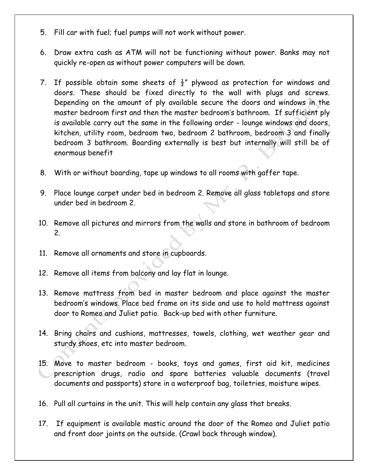- 5. Fill car with fuel; fuel pumps will not work without power.
- 6. Draw extra cash as ATM will not be functioning without power. Banks may not quickly re-open as without power computers will be down.
- 7. If possible obtain some sheets of  $\frac{1}{2}$ " plywood as protection for windows and doors. These should be fixed directly to the wall with plugs and screws. Depending on the amount of ply available secure the doors and windows in the master bedroom first and then the master bedroom's bathroom. If sufficient ply is available carry out the same in the following order - lounge windows and doors, kitchen, utility room, bedroom two, bedroom 2 bathroom, bedroom 3 and finally bedroom 3 bathroom. Boarding externally is best but internally will still be of enormous benefit
- 8. With or without boarding, tape up windows to all rooms with gaffer tape.
- 9. Place lounge carpet under bed in bedroom 2. Remove all glass tabletops and store under bed in bedroom 2.
- 10. Remove all pictures and mirrors from the walls and store in bathroom of bedroom 2.
- 11. Remove all ornaments and store in cupboards.
- 12. Remove all items from balcony and lay flat in lounge.
- 13. Remove mattress from bed in master bedroom and place against the master bedroom's windows. Place bed frame on its side and use to hold mattress against door to Romeo and Juliet patio. Back-up bed with other furniture.
- 14. Bring chairs and cushions, mattresses, towels, clothing, wet weather gear and sturdy shoes, etc into master bedroom.
- 15. Move to master bedroom books, toys and games, first aid kit, medicines prescription drugs, radio and spare batteries valuable documents (travel documents and passports) store in a waterproof bag, toiletries, moisture wipes.
- 16. Pull all curtains in the unit. This will help contain any glass that breaks.
- 17. If equipment is available mastic around the door of the Romeo and Juliet patio and front door joints on the outside. (Crawl back through window).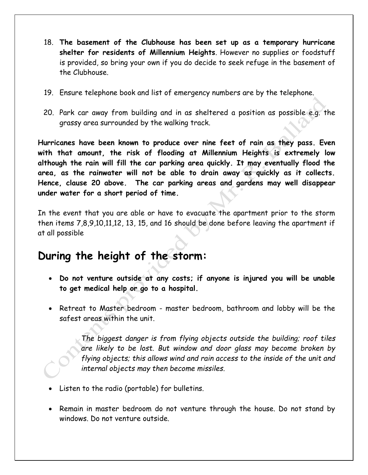- 18. **The basement of the Clubhouse has been set up as a temporary hurricane shelter for residents of Millennium Heights**. However no supplies or foodstuff is provided, so bring your own if you do decide to seek refuge in the basement of the Clubhouse.
- 19. Ensure telephone book and list of emergency numbers are by the telephone.
- 20. Park car away from building and in as sheltered a position as possible e.g. the grassy area surrounded by the walking track.

**Hurricanes have been known to produce over nine feet of rain as they pass. Even with that amount, the risk of flooding at Millennium Heights is extremely low although the rain will fill the car parking area quickly. It may eventually flood the area, as the rainwater will not be able to drain away as quickly as it collects. Hence, clause 20 above. The car parking areas and gardens may well disappear under water for a short period of time.**

In the event that you are able or have to evacuate the apartment prior to the storm then items 7,8,9,10,11,12, 13, 15, and 16 should be done before leaving the apartment if at all possible

### **During the height of the storm:**

- **Do not venture outside at any costs; if anyone is injured you will be unable to get medical help or go to a hospital.**
- Retreat to Master bedroom master bedroom, bathroom and lobby will be the safest areas within the unit.

*The biggest danger is from flying objects outside the building; roof tiles are likely to be lost. But window and door glass may become broken by flying objects; this allows wind and rain access to the inside of the unit and internal objects may then become missiles.*

- Listen to the radio (portable) for bulletins.
- Remain in master bedroom do not venture through the house. Do not stand by windows. Do not venture outside.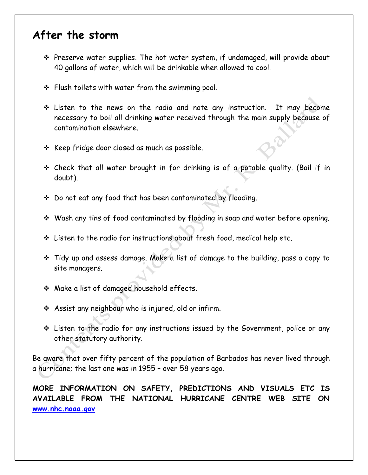## **After the storm**

- Preserve water supplies. The hot water system, if undamaged, will provide about 40 gallons of water, which will be drinkable when allowed to cool.
- \* Flush toilets with water from the swimming pool.
- Listen to the news on the radio and note any instruction. It may become necessary to boil all drinking water received through the main supply because of contamination elsewhere.
- \* Keep fridge door closed as much as possible.
- Check that all water brought in for drinking is of a potable quality. (Boil if in doubt).
- \* Do not eat any food that has been contaminated by flooding.
- Wash any tins of food contaminated by flooding in soap and water before opening.
- Listen to the radio for instructions about fresh food, medical help etc.
- Tidy up and assess damage. Make a list of damage to the building, pass a copy to site managers.
- Make a list of damaged household effects.
- Assist any neighbour who is injured, old or infirm.
- Listen to the radio for any instructions issued by the Government, police or any other statutory authority.

Be aware that over fifty percent of the population of Barbados has never lived through a hurricane; the last one was in 1955 – over 58 years ago.

**MORE INFORMATION ON SAFETY, PREDICTIONS AND VISUALS ETC IS AVAILABLE FROM THE NATIONAL HURRICANE CENTRE WEB SITE ON [www.nhc.noaa.gov](http://www.nhc.noaa.gov/)**